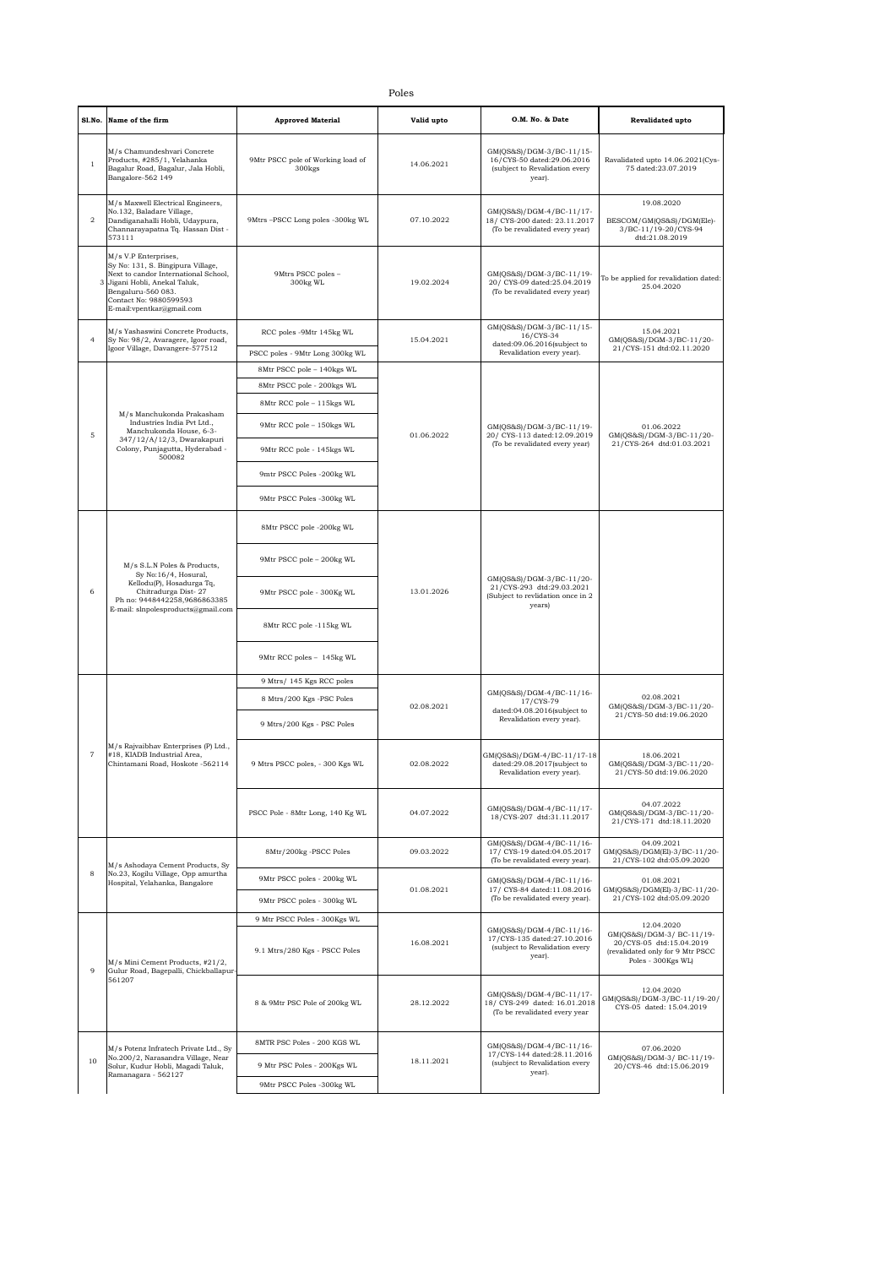| ×<br>۰. | I<br>M.<br>۰, | ۰ |
|---------|---------------|---|

|                | Poles                                                                                                                                                                                                         |                                                               |            |                                                                                                      |                                                                                                                               |  |
|----------------|---------------------------------------------------------------------------------------------------------------------------------------------------------------------------------------------------------------|---------------------------------------------------------------|------------|------------------------------------------------------------------------------------------------------|-------------------------------------------------------------------------------------------------------------------------------|--|
| Sl.No.         | Name of the firm                                                                                                                                                                                              | <b>Approved Material</b>                                      | Valid upto | O.M. No. & Date                                                                                      | Revalidated upto                                                                                                              |  |
| $\mathbf{1}$   | M/s Chamundeshvari Concrete<br>Products, #285/1, Yelahanka<br>Bagalur Road, Bagalur, Jala Hobli,<br>Bangalore-562 149                                                                                         | 9Mtr PSCC pole of Working load of<br>300 <sub>kgs</sub>       | 14.06.2021 | GM(QS&S)/DGM-3/BC-11/15-<br>16/CYS-50 dated:29.06.2016<br>(subject to Revalidation every<br>year).   | Ravalidated upto 14.06.2021(Cys-<br>75 dated:23.07.2019                                                                       |  |
| $\,2\,$        | M/s Maxwell Electrical Engineers,<br>No.132, Baladare Village,<br>Dandiganahalli Hobli, Udaypura,<br>Channarayapatna Tq. Hassan Dist -<br>573111                                                              | 9Mtrs-PSCC Long poles -300kg WL                               | 07.10.2022 | GM(QS&S)/DGM-4/BC-11/17-<br>18/ CYS-200 dated: 23.11.2017<br>(To be revalidated every year)          | 19.08.2020<br>BESCOM/GM(QS&S)/DGM(Ele)-<br>3/BC-11/19-20/CYS-94<br>dtd:21.08.2019                                             |  |
| 3              | M/s V.P Enterprises,<br>Sy No: 131, S. Bingipura Village,<br>Next to candor International School,<br>Jigani Hobli, Anekal Taluk,<br>Bengaluru-560 083.<br>Contact No: 9880599593<br>E-mail:vpentkar@gmail.com | 9Mtrs PSCC poles -<br>300kg WL                                | 19.02.2024 | GM(QS&S)/DGM-3/BC-11/19-<br>20/ CYS-09 dated:25.04.2019<br>(To be revalidated every year)            | To be applied for revalidation dated:<br>25.04.2020                                                                           |  |
| 4              | M/s Yashaswini Concrete Products,<br>Sy No: 98/2, Avaragere, Igoor road,                                                                                                                                      | RCC poles -9Mtr 145kg WL                                      | 15.04.2021 | GM(QS&S)/DGM-3/BC-11/15-<br>16/CYS-34<br>dated:09.06.2016(subject to                                 | 15.04.2021<br>GM(QS&S)/DGM-3/BC-11/20-                                                                                        |  |
|                | Igoor Village, Davangere-577512                                                                                                                                                                               | PSCC poles - 9Mtr Long 300kg WL                               |            | Revalidation every year).                                                                            | 21/CYS-151 dtd:02.11.2020                                                                                                     |  |
|                |                                                                                                                                                                                                               | 8Mtr PSCC pole - 140kgs WL                                    |            |                                                                                                      |                                                                                                                               |  |
|                |                                                                                                                                                                                                               | 8Mtr PSCC pole - 200kgs WL                                    |            |                                                                                                      |                                                                                                                               |  |
|                |                                                                                                                                                                                                               | 8Mtr RCC pole - 115kgs WL                                     |            |                                                                                                      |                                                                                                                               |  |
|                | M/s Manchukonda Prakasham<br>Industries India Pvt Ltd.,                                                                                                                                                       | 9Mtr RCC pole - 150kgs WL                                     |            | GM(QS&S)/DGM-3/BC-11/19-                                                                             | 01.06.2022                                                                                                                    |  |
| $\mathbf 5$    | Manchukonda House, 6-3-<br>347/12/A/12/3, Dwarakapuri<br>Colony, Punjagutta, Hyderabad -<br>500082                                                                                                            | 9Mtr RCC pole - 145kgs WL                                     | 01.06.2022 | 20/ CYS-113 dated:12.09.2019<br>(To be revalidated every year)                                       | GM(QS&S)/DGM-3/BC-11/20-<br>21/CYS-264 dtd:01.03.2021                                                                         |  |
|                |                                                                                                                                                                                                               | 9mtr PSCC Poles -200kg WL                                     |            |                                                                                                      |                                                                                                                               |  |
|                |                                                                                                                                                                                                               | 9Mtr PSCC Poles -300kg WL                                     |            |                                                                                                      |                                                                                                                               |  |
|                |                                                                                                                                                                                                               | 8Mtr PSCC pole -200kg WL                                      |            |                                                                                                      |                                                                                                                               |  |
|                | M/s S.L.N Poles & Products,<br>Sy No:16/4, Hosural,                                                                                                                                                           | 9Mtr PSCC pole - 200kg WL                                     | 13.01.2026 | GM(QS&S)/DGM-3/BC-11/20-<br>21/CYS-293 dtd:29.03.2021<br>(Subject to revlidation once in 2<br>years) |                                                                                                                               |  |
| 6              | Kellodu(P), Hosadurga Tq,<br>Chitradurga Dist-27<br>Ph no: 9448442258,9686863385<br>E-mail: slnpolesproducts@gmail.com                                                                                        | 9Mtr PSCC pole - 300Kg WL                                     |            |                                                                                                      |                                                                                                                               |  |
|                |                                                                                                                                                                                                               | 8Mtr RCC pole -115kg WL                                       |            |                                                                                                      |                                                                                                                               |  |
|                |                                                                                                                                                                                                               | 9Mtr RCC poles - 145kg WL                                     |            |                                                                                                      |                                                                                                                               |  |
|                |                                                                                                                                                                                                               | 9 Mtrs/ 145 Kgs RCC poles                                     | 02.08.2021 | GM(QS&S)/DGM-4/BC-11/16-<br>17/CYS-79                                                                |                                                                                                                               |  |
|                | M/s Rajvaibhav Enterprises (P) Ltd.,<br>#18, KIADB Industrial Area,<br>Chintamani Road, Hoskote -562114                                                                                                       | 8 Mtrs/200 Kgs -PSC Poles                                     |            |                                                                                                      | 02.08.2021<br>GM(QS&S)/DGM-3/BC-11/20-                                                                                        |  |
|                |                                                                                                                                                                                                               | 9 Mtrs/200 Kgs - PSC Poles                                    |            | dated:04.08.2016(subject to<br>Revalidation every year).                                             | 21/CYS-50 dtd:19.06.2020                                                                                                      |  |
|                |                                                                                                                                                                                                               | 9 Mtrs PSCC poles, - 300 Kgs WL                               | 02.08.2022 | GM(QS&S)/DGM-4/BC-11/17-18<br>dated:29.08.2017(subject to<br>Revalidation every year).               | 18.06.2021<br>GM(QS&S)/DGM-3/BC-11/20-<br>21/CYS-50 dtd:19.06.2020                                                            |  |
|                |                                                                                                                                                                                                               | PSCC Pole - 8Mtr Long, 140 Kg WL                              | 04.07.2022 | GM(QS&S)/DGM-4/BC-11/17-<br>18/CYS-207 dtd:31.11.2017                                                | 04.07.2022<br>GM(QS&S)/DGM-3/BC-11/20-<br>21/CYS-171 dtd:18.11.2020                                                           |  |
|                | M/s Ashodaya Cement Products, Sy                                                                                                                                                                              | 8Mtr/200kg -PSCC Poles                                        | 09.03.2022 | GM(QS&S)/DGM-4/BC-11/16-<br>17/ CYS-19 dated:04.05.2017<br>(To be revalidated every year).           | 04.09.2021<br>GM(QS&S)/DGM(El)-3/BC-11/20-<br>21/CYS-102 dtd:05.09.2020                                                       |  |
| 8              | No.23, Kogilu Village, Opp amurtha<br>Hospital, Yelahanka, Bangalore                                                                                                                                          | 9Mtr PSCC poles - 200kg WL                                    | 01.08.2021 | GM(QS&S)/DGM-4/BC-11/16-<br>17/ CYS-84 dated:11.08.2016<br>(To be revalidated every year).           | 01.08.2021                                                                                                                    |  |
|                |                                                                                                                                                                                                               | 9Mtr PSCC poles - 300kg WL                                    |            |                                                                                                      | GM(QS&S)/DGM(El)-3/BC-11/20-<br>21/CYS-102 dtd:05.09.2020                                                                     |  |
| $\overline{9}$ | M/s Mini Cement Products, #21/2,<br>Gulur Road, Bagepalli, Chickballapur-<br>561207                                                                                                                           | 9 Mtr PSCC Poles - 300Kgs WL<br>9.1 Mtrs/280 Kgs - PSCC Poles | 16.08.2021 | GM(QS&S)/DGM-4/BC-11/16-<br>17/CYS-135 dated:27.10.2016<br>(subject to Revalidation every<br>year).  | 12.04.2020<br>GM(QS&S)/DGM-3/ BC-11/19-<br>20/CYS-05 dtd:15.04.2019<br>(revalidated only for 9 Mtr PSCC<br>Poles - 300Kgs WL) |  |
|                |                                                                                                                                                                                                               | 8 & 9Mtr PSC Pole of 200kg WL                                 | 28.12.2022 | GM(QS&S)/DGM-4/BC-11/17-<br>18/ CYS-249 dated: 16.01.2018<br>(To be revalidated every year           | 12.04.2020<br>GM(QS&S)/DGM-3/BC-11/19-20/<br>CYS-05 dated: 15.04.2019                                                         |  |
| 10             | M/s Potenz Infratech Private Ltd., Sy                                                                                                                                                                         | 8MTR PSC Poles - 200 KGS WL                                   | 18.11.2021 | GM(QS&S)/DGM-4/BC-11/16-<br>17/CYS-144 dated:28.11.2016<br>(subject to Revalidation every<br>year).  | 07.06.2020                                                                                                                    |  |
|                | No.200/2, Narasandra Village, Near<br>Solur, Kudur Hobli, Magadi Taluk,<br>Ramanagara - 562127                                                                                                                | 9 Mtr PSC Poles - 200Kgs WL                                   |            |                                                                                                      | GM(QS&S)/DGM-3/ BC-11/19-<br>20/CYS-46 dtd:15.06.2019                                                                         |  |
|                |                                                                                                                                                                                                               | 9Mtr PSCC Poles -300kg WL                                     |            |                                                                                                      |                                                                                                                               |  |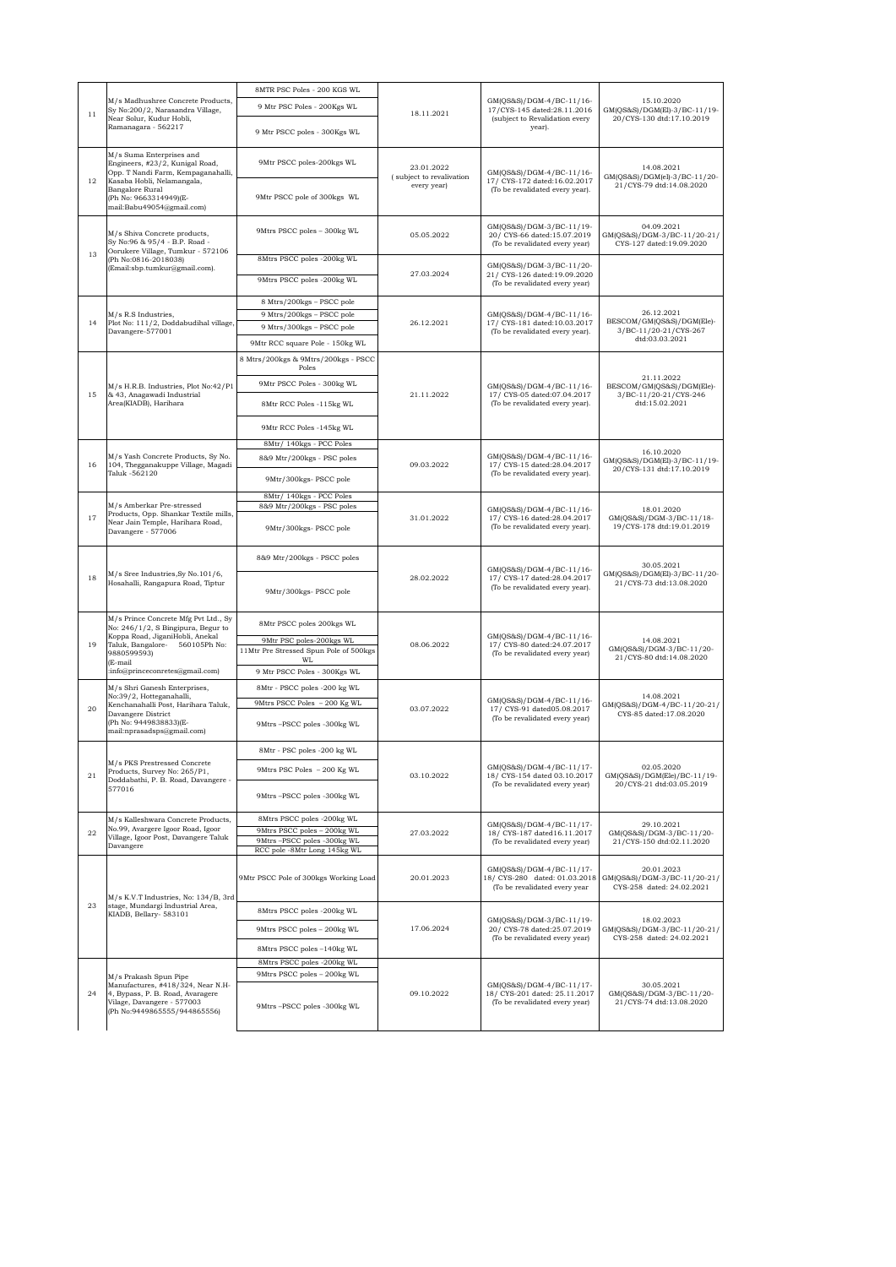|                           | M/s Madhushree Concrete Products,<br>Sy No:200/2, Narasandra Village,                                                                         | 8MTR PSC Poles - 200 KGS WL                                                               | 18.11.2021                             | GM(QS&S)/DGM-4/BC-11/16-<br>17/CYS-145 dated:28.11.2016<br>(subject to Revalidation every<br>year). |                                                                        |
|---------------------------|-----------------------------------------------------------------------------------------------------------------------------------------------|-------------------------------------------------------------------------------------------|----------------------------------------|-----------------------------------------------------------------------------------------------------|------------------------------------------------------------------------|
|                           |                                                                                                                                               | 9 Mtr PSC Poles - 200Kgs WL                                                               |                                        |                                                                                                     | 15.10.2020<br>GM(QS&S)/DGM(El)-3/BC-11/19-                             |
| 11<br>Ramanagara - 562217 | Near Solur, Kudur Hobli,                                                                                                                      | 9 Mtr PSCC poles - 300Kgs WL                                                              |                                        |                                                                                                     | 20/CYS-130 dtd:17.10.2019                                              |
| 12                        | M/s Suma Enterprises and<br>Engineers, #23/2, Kunigal Road,<br>Opp. T Nandi Farm, Kempaganahalli,<br>Kasaba Hobli, Nelamangala,               | 9Mtr PSCC poles-200kgs WL                                                                 | 23.01.2022<br>(subject to revalivation | GM(QS&S)/DGM-4/BC-11/16-<br>17/ CYS-172 dated:16.02.2017                                            | 14.08.2021<br>GM(QS&S)/DGM(el)-3/BC-11/20-                             |
|                           | Bangalore Rural<br>(Ph No: 9663314949)(E-<br>mail:Babu49054@gmail.com)                                                                        | 9Mtr PSCC pole of 300kgs WL                                                               | every year)                            | (To be revalidated every year).                                                                     | 21/CYS-79 dtd:14.08.2020                                               |
|                           | M/s Shiva Concrete products,<br>Sy No:96 & 95/4 - B.P. Road -<br>Oorukere Village, Tumkur - 572106                                            | 9Mtrs PSCC poles - 300kg WL                                                               | 05.05.2022                             | GM(QS&S)/DGM-3/BC-11/19-<br>20/ CYS-66 dated:15.07.2019<br>(To be revalidated every year)           | 04.09.2021<br>GM(QS&S)/DGM-3/BC-11/20-21/<br>CYS-127 dated:19.09.2020  |
| 13                        | (Ph No:0816-2018038)<br>(Email:sbp.tumkur@gmail.com).                                                                                         | 8Mtrs PSCC poles -200kg WL<br>9Mtrs PSCC poles -200kg WL                                  | 27.03.2024                             | GM(QS&S)/DGM-3/BC-11/20-<br>21/ CYS-126 dated:19.09.2020                                            |                                                                        |
|                           |                                                                                                                                               |                                                                                           |                                        | (To be revalidated every year)                                                                      |                                                                        |
|                           |                                                                                                                                               | 8 Mtrs/200kgs - PSCC pole                                                                 |                                        |                                                                                                     |                                                                        |
| 14                        | M/s R.S Industries,<br>Plot No: 111/2, Doddabudihal village,                                                                                  | 9 Mtrs/200kgs - PSCC pole<br>9 Mtrs/300kgs - PSCC pole                                    | 26.12.2021                             | GM(QS&S)/DGM-4/BC-11/16-<br>17/ CYS-181 dated:10.03.2017                                            | 26.12.2021<br>BESCOM/GM(QS&S)/DGM(Ele)-                                |
|                           | Davangere-577001                                                                                                                              | 9Mtr RCC square Pole - 150kg WL                                                           |                                        | (To be revalidated every year).                                                                     | 3/BC-11/20-21/CYS-267<br>dtd:03.03.2021                                |
|                           |                                                                                                                                               |                                                                                           |                                        |                                                                                                     |                                                                        |
|                           |                                                                                                                                               | 8 Mtrs/200kgs & 9Mtrs/200kgs - PSCC<br>Poles                                              |                                        |                                                                                                     | 21.11.2022                                                             |
| 15                        | M/s H.R.B. Industries, Plot No:42/P1<br>& 43, Anagawadi Industrial                                                                            | 9Mtr PSCC Poles - 300kg WL                                                                | 21.11.2022                             | GM(QS&S)/DGM-4/BC-11/16-                                                                            | BESCOM/GM(QS&S)/DGM(Ele)-<br>3/BC-11/20-21/CYS-246                     |
|                           | Area(KIADB), Harihara                                                                                                                         | 8Mtr RCC Poles -115kg WL                                                                  |                                        | 17/ CYS-05 dated:07.04.2017<br>(To be revalidated every year).                                      | dtd:15.02.2021                                                         |
|                           |                                                                                                                                               | 9Mtr RCC Poles -145kg WL                                                                  |                                        |                                                                                                     |                                                                        |
|                           |                                                                                                                                               | 8Mtr/ 140kgs - PCC Poles                                                                  |                                        |                                                                                                     |                                                                        |
| 16                        | M/s Yash Concrete Products, Sy No.<br>104, Thegganakuppe Village, Magadi                                                                      | 8&9 Mtr/200kgs - PSC poles                                                                | 09.03.2022                             | GM(QS&S)/DGM-4/BC-11/16-                                                                            | 16.10.2020<br>GM(QS&S)/DGM(El)-3/BC-11/19-                             |
|                           | Taluk -562120                                                                                                                                 | 9Mtr/300kgs- PSCC pole                                                                    |                                        | 17/ CYS-15 dated:28.04.2017<br>(To be revalidated every year).                                      | 20/CYS-131 dtd:17.10.2019                                              |
|                           |                                                                                                                                               | 8Mtr/ 140kgs - PCC Poles                                                                  |                                        |                                                                                                     |                                                                        |
| 17                        | M/s Amberkar Pre-stressed<br>Products, Opp. Shankar Textile mills,<br>Near Jain Temple, Harihara Road,<br>Davangere - 577006                  | 8&9 Mtr/200kgs - PSC poles<br>9Mtr/300kgs- PSCC pole                                      | 31.01.2022                             | GM(QS&S)/DGM-4/BC-11/16-<br>17/ CYS-16 dated:28.04.2017<br>(To be revalidated every year).          | 18.01.2020<br>GM(QS&S)/DGM-3/BC-11/18-<br>19/CYS-178 dtd:19.01.2019    |
|                           |                                                                                                                                               | 8&9 Mtr/200kgs - PSCC poles                                                               |                                        | GM(QS&S)/DGM-4/BC-11/16-                                                                            | 30.05.2021<br>GM(QS&S)/DGM(El)-3/BC-11/20-                             |
|                           | M/s Sree Industries, Sy No.101/6,<br>18<br>Hosahalli, Rangapura Road, Tiptur                                                                  | 9Mtr/300kgs- PSCC pole                                                                    | 28.02.2022                             | 17/ CYS-17 dated:28.04.2017<br>(To be revalidated every year).                                      | 21/CYS-73 dtd:13.08.2020                                               |
|                           | M/s Prince Concrete Mfg Pvt Ltd., Sy<br>No: 246/1/2, S Bingipura, Begur to<br>Koppa Road, JiganiHobli, Anekal                                 | 8Mtr PSCC poles 200kgs WL                                                                 | 08.06.2022                             | GM(QS&S)/DGM-4/BC-11/16-<br>17/ CYS-80 dated:24.07.2017<br>(To be revalidated every year)           |                                                                        |
| 19                        | Taluk, Bangalore- 560105Ph No:<br>9880599593)<br>(E-mail<br>:info@princeconretes@gmail.com)                                                   | 9Mtr PSC poles-200kgs WL<br>11Mtr Pre Stressed Spun Pole of 500kgs                        |                                        |                                                                                                     | 14.08.2021<br>GM(QS&S)/DGM-3/BC-11/20-                                 |
|                           |                                                                                                                                               | WL<br>9 Mtr PSCC Poles - 300Kgs WL                                                        |                                        |                                                                                                     | 21/CYS-80 dtd:14.08.2020                                               |
|                           | M/s Shri Ganesh Enterprises,                                                                                                                  | 8Mtr - PSCC poles -200 kg WL                                                              |                                        |                                                                                                     |                                                                        |
|                           | No:39/2, Hotteganahalli,<br>Kenchanahalli Post, Harihara Taluk,<br>Davangere District<br>(Ph No: 9449838833)(E-<br>mail:nprasadsps@gmail.com) | 9Mtrs PSCC Poles - 200 Kg WL                                                              | 03.07.2022                             | GM(QS&S)/DGM-4/BC-11/16-<br>17/ CYS-91 dated05.08.2017<br>(To be revalidated every year)            | 14.08.2021<br>GM(QS&S)/DGM-4/BC-11/20-21/                              |
| 20                        |                                                                                                                                               |                                                                                           |                                        |                                                                                                     | CYS-85 dated:17.08.2020                                                |
|                           |                                                                                                                                               | 9Mtrs-PSCC poles -300kg WL                                                                |                                        |                                                                                                     |                                                                        |
|                           | M/s PKS Prestressed Concrete                                                                                                                  | 8Mtr - PSC poles -200 kg WL                                                               |                                        |                                                                                                     |                                                                        |
| 21                        | Products, Survey No: 265/P1,<br>Doddabathi, P. B. Road, Davangere -<br>577016                                                                 | 9Mtrs PSC Poles - 200 Kg WL                                                               | 03.10.2022                             | GM(QS&S)/DGM-4/BC-11/17-<br>18/ CYS-154 dated 03.10.2017<br>(To be revalidated every year)          | 02.05.2020<br>GM(QS&S)/DGM(Ele)/BC-11/19-<br>20/CYS-21 dtd:03.05.2019  |
|                           |                                                                                                                                               | 9Mtrs-PSCC poles -300kg WL                                                                |                                        |                                                                                                     |                                                                        |
|                           | M/s Kalleshwara Concrete Products,                                                                                                            | 8Mtrs PSCC poles -200kg WL                                                                |                                        | GM(QS&S)/DGM-4/BC-11/17-                                                                            | 29.10.2021                                                             |
| 22                        | No.99, Avargere Igoor Road, Igoor<br>Village, Igoor Post, Davangere Taluk<br>Davangere                                                        | 9Mtrs PSCC poles - 200kg WL<br>9Mtrs-PSCC poles -300kg WL<br>RCC pole -8Mtr Long 145kg WL | 27.03.2022                             | 18/ CYS-187 dated16.11.2017<br>(To be revalidated every year)                                       | GM(QS&S)/DGM-3/BC-11/20-<br>21/CYS-150 dtd:02.11.2020                  |
|                           |                                                                                                                                               |                                                                                           |                                        |                                                                                                     |                                                                        |
|                           | M/s K.V.T Industries, No: 134/B, 3rd                                                                                                          | 9Mtr PSCC Pole of 300kgs Working Load                                                     | 20.01.2023                             | GM(QS&S)/DGM-4/BC-11/17-<br>18/ CYS-280 dated: 01.03.2018<br>(To be revalidated every year          | 20.01.2023<br>GM(QS&S)/DGM-3/BC-11/20-21/<br>CYS-258 dated: 24.02.2021 |
| 23                        | stage, Mundargi Industrial Area,<br>KIADB, Bellary- 583101                                                                                    | 8Mtrs PSCC poles -200kg WL                                                                |                                        | GM(QS&S)/DGM-3/BC-11/19-                                                                            | 18.02.2023                                                             |
|                           |                                                                                                                                               | 9Mtrs PSCC poles - 200kg WL                                                               | 17.06.2024                             | 20/ CYS-78 dated:25.07.2019<br>(To be revalidated every year)                                       | GM(QS&S)/DGM-3/BC-11/20-21/<br>CYS-258 dated: 24.02.2021               |
|                           |                                                                                                                                               | 8Mtrs PSCC poles -140kg WL                                                                |                                        |                                                                                                     |                                                                        |
|                           |                                                                                                                                               | 8Mtrs PSCC poles -200kg WL                                                                |                                        |                                                                                                     |                                                                        |
| 24                        | M/s Prakash Spun Pipe                                                                                                                         | 9Mtrs PSCC poles - 200kg WL                                                               |                                        |                                                                                                     |                                                                        |
|                           | Manufactures, #418/324, Near N.H-<br>4, Bypass, P. B. Road, Avaragere<br>Vilage, Davangere - 577003<br>(Ph No:9449865555/944865556)           | 9Mtrs -PSCC poles -300kg WL                                                               | 09.10.2022                             | GM(QS&S)/DGM-4/BC-11/17-<br>18/ CYS-201 dated: 25.11.2017<br>(To be revalidated every year)         | 30.05.2021<br>GM(QS&S)/DGM-3/BC-11/20-<br>21/CYS-74 dtd:13.08.2020     |
|                           |                                                                                                                                               |                                                                                           |                                        |                                                                                                     |                                                                        |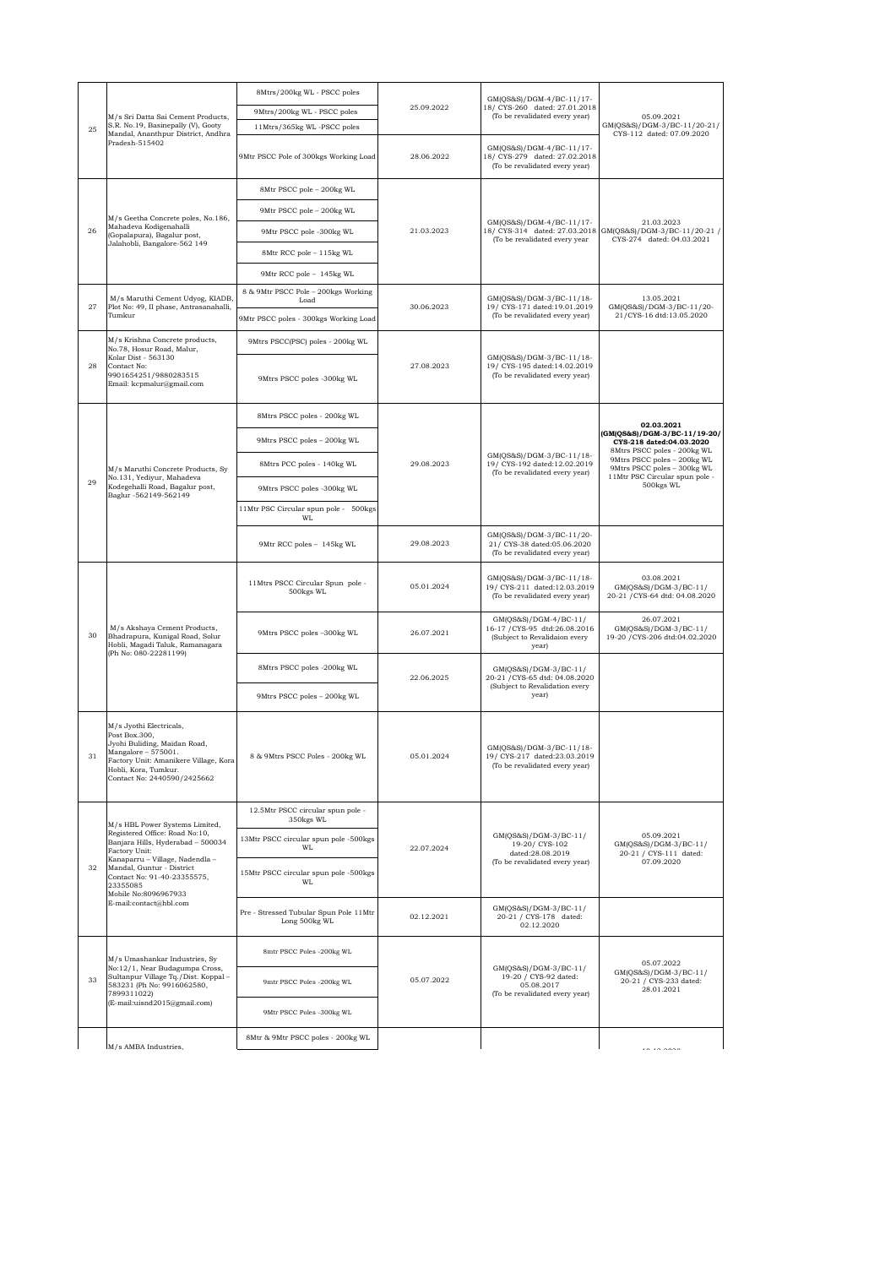|    |                                                                                |                                                                                                                                                                                                                                                                                     | 8Mtrs/200kg WL - PSCC poles                             |                                                                 | GM(QS&S)/DGM-4/BC-11/17-                                                                         |                                                                                           |
|----|--------------------------------------------------------------------------------|-------------------------------------------------------------------------------------------------------------------------------------------------------------------------------------------------------------------------------------------------------------------------------------|---------------------------------------------------------|-----------------------------------------------------------------|--------------------------------------------------------------------------------------------------|-------------------------------------------------------------------------------------------|
|    | M/s Sri Datta Sai Cement Products,                                             | 9Mtrs/200kg WL - PSCC poles                                                                                                                                                                                                                                                         | 25.09.2022                                              | 18/ CYS-260 dated: 27.01.2018<br>(To be revalidated every year) | 05.09.2021                                                                                       |                                                                                           |
|    | S.R. No.19, Basinepally (V), Gooty<br>25<br>Mandal, Ananthpur District, Andhra |                                                                                                                                                                                                                                                                                     | 11Mtrs/365kg WL-PSCC poles                              |                                                                 |                                                                                                  | GM(QS&S)/DGM-3/BC-11/20-21/<br>CYS-112 dated: 07.09.2020                                  |
|    |                                                                                | Pradesh-515402                                                                                                                                                                                                                                                                      | 9Mtr PSCC Pole of 300kgs Working Load                   | 28.06.2022                                                      | GM(QS&S)/DGM-4/BC-11/17-<br>18/ CYS-279 dated: 27.02.2018<br>(To be revalidated every year)      |                                                                                           |
|    |                                                                                |                                                                                                                                                                                                                                                                                     | 8Mtr PSCC pole - 200kg WL                               |                                                                 |                                                                                                  |                                                                                           |
|    |                                                                                | M/s Geetha Concrete poles, No.186,                                                                                                                                                                                                                                                  | 9Mtr PSCC pole - 200kg WL                               |                                                                 |                                                                                                  |                                                                                           |
|    | 26                                                                             | Mahadeva Kodigenahalli<br>(Gopalapura), Bagalur post,                                                                                                                                                                                                                               | 9Mtr PSCC pole -300kg WL                                | 21.03.2023                                                      | GM(QS&S)/DGM-4/BC-11/17-<br>18/ CYS-314 dated: 27.03.2018<br>(To be revalidated every year       | 21.03.2023<br>GM(QS&S)/DGM-3/BC-11/20-21 /<br>CYS-274 dated: 04.03.2021                   |
|    |                                                                                | Jalahobli, Bangalore-562 149                                                                                                                                                                                                                                                        | 8Mtr RCC pole - 115kg WL                                |                                                                 |                                                                                                  |                                                                                           |
|    |                                                                                |                                                                                                                                                                                                                                                                                     | 9Mtr RCC pole - 145kg WL                                |                                                                 |                                                                                                  |                                                                                           |
|    |                                                                                | M/s Maruthi Cement Udyog, KIADB,                                                                                                                                                                                                                                                    | 8 & 9Mtr PSCC Pole - 200kgs Working<br>Load             |                                                                 | GM(QS&S)/DGM-3/BC-11/18-                                                                         | 13.05.2021                                                                                |
|    | 27                                                                             | Plot No: 49, II phase, Antrasanahalli,<br>Tumkur                                                                                                                                                                                                                                    | 9Mtr PSCC poles - 300kgs Working Load                   | 30.06.2023                                                      | 19/ CYS-171 dated:19.01.2019<br>(To be revalidated every year)                                   | GM(QS&S)/DGM-3/BC-11/20-<br>21/CYS-16 dtd:13.05.2020                                      |
|    |                                                                                | M/s Krishna Concrete products,                                                                                                                                                                                                                                                      | 9Mtrs PSCC(PSC) poles - 200kg WL                        |                                                                 |                                                                                                  |                                                                                           |
|    | 28                                                                             | No.78, Hosur Road, Malur,<br>Kolar Dist - 563130<br>Contact No:<br>9901654251/9880283515<br>Email: kcpmalur@gmail.com                                                                                                                                                               | 9Mtrs PSCC poles -300kg WL                              | 27.08.2023                                                      | GM(QS&S)/DGM-3/BC-11/18-<br>19/ CYS-195 dated:14.02.2019<br>(To be revalidated every year)       |                                                                                           |
|    |                                                                                |                                                                                                                                                                                                                                                                                     | 8Mtrs PSCC poles - 200kg WL                             |                                                                 |                                                                                                  | 02.03.2021                                                                                |
|    |                                                                                |                                                                                                                                                                                                                                                                                     | 9Mtrs PSCC poles - 200kg WL                             |                                                                 |                                                                                                  | (GM(OS&S)/DGM-3/BC-11/19-20/<br>CYS-218 dated:04.03.2020                                  |
|    |                                                                                | M/s Maruthi Concrete Products, Sy                                                                                                                                                                                                                                                   | 8Mtrs PCC poles - 140kg WL                              | 29.08.2023                                                      | GM(QS&S)/DGM-3/BC-11/18-<br>19/ CYS-192 dated:12.02.2019                                         | 8Mtrs PSCC poles - 200kg WL<br>9Mtrs PSCC poles - 200kg WL<br>9Mtrs PSCC poles - 300kg WL |
|    | 29                                                                             | No.131, Yediyur, Mahadeva<br>Kodegehalli Road, Bagalur post,                                                                                                                                                                                                                        | 9Mtrs PSCC poles -300kg WL                              |                                                                 | (To be revalidated every year)                                                                   | 11Mtr PSC Circular spun pole -<br>500kgs WL                                               |
|    |                                                                                | Baglur -562149-562149                                                                                                                                                                                                                                                               | 11Mtr PSC Circular spun pole - 500kgs                   |                                                                 |                                                                                                  |                                                                                           |
|    |                                                                                |                                                                                                                                                                                                                                                                                     | WL<br>9Mtr RCC poles - 145kg WL                         | 29.08.2023                                                      | GM(QS&S)/DGM-3/BC-11/20-<br>21/ CYS-38 dated:05.06.2020<br>(To be revalidated every year)        |                                                                                           |
|    |                                                                                |                                                                                                                                                                                                                                                                                     | 11Mtrs PSCC Circular Spun pole -<br>500kgs WL           | 05.01.2024                                                      | GM(QS&S)/DGM-3/BC-11/18-<br>19/ CYS-211 dated:12.03.2019<br>(To be revalidated every year)       | 03.08.2021<br>GM(QS&S)/DGM-3/BC-11/<br>20-21 / CYS-64 dtd: 04.08.2020                     |
| 30 |                                                                                | M/s Akshaya Cement Products,<br>Bhadrapura, Kunigal Road, Solur<br>Hobli, Magadi Taluk, Ramanagara<br>(Ph No: 080-22281199)                                                                                                                                                         | 9Mtrs PSCC poles -300kg WL                              | 26.07.2021                                                      | GM(QS&S)/DGM-4/BC-11/<br>16-17 / CYS-95 dtd:26.08.2016<br>(Subject to Revalidaion every<br>year) | 26.07.2021<br>GM(QS&S)/DGM-3/BC-11/<br>19-20 / CYS-206 dtd:04.02.2020                     |
|    |                                                                                |                                                                                                                                                                                                                                                                                     | 8Mtrs PSCC poles -200kg WL                              | 22.06.2025                                                      | GM(QS&S)/DGM-3/BC-11/<br>20-21 / CYS-65 dtd: 04.08.2020<br>(Subject to Revalidation every        |                                                                                           |
|    |                                                                                |                                                                                                                                                                                                                                                                                     | 9Mtrs PSCC poles - 200kg WL                             |                                                                 | year)                                                                                            |                                                                                           |
|    | 31                                                                             | M/s Jyothi Electricals,<br>Post Box.300,<br>Jyohi Buliding, Maidan Road,<br>Mangalore - 575001.<br>Factory Unit: Amanikere Village, Kora<br>Hobli, Kora, Tumkur.<br>Contact No: 2440590/2425662                                                                                     | $8$ & $9\mathrm{Mtrs}$ PSCC Poles - $200\mathrm{kg}$ WL | 05.01.2024                                                      | GM(QS&S)/DGM-3/BC-11/18-<br>19/ CYS-217 dated:23.03.2019<br>(To be revalidated every year)       |                                                                                           |
|    |                                                                                |                                                                                                                                                                                                                                                                                     | 12.5Mtr PSCC circular spun pole -<br>350kgs WL          |                                                                 |                                                                                                  |                                                                                           |
|    |                                                                                | M/s HBL Power Systems Limited,<br>Registered Office: Road No:10,<br>Banjara Hills, Hyderabad - 500034<br>Factory Unit:<br>Kanaparru - Village, Nadendla -<br>Mandal, Guntur - District<br>Contact No: 91-40-23355575,<br>23355085<br>Mobile No:8096967933<br>E-mail:contact@hbl.com | 13Mtr PSCC circular spun pole -500kgs<br>WL             | 22.07.2024                                                      | GM(QS&S)/DGM-3/BC-11/<br>19-20/CYS-102<br>dated:28.08.2019<br>(To be revalidated every year)     | 05.09.2021<br>GM(QS&S)/DGM-3/BC-11/                                                       |
| 32 |                                                                                |                                                                                                                                                                                                                                                                                     | 15Mtr PSCC circular spun pole -500kgs<br><b>WL</b>      |                                                                 |                                                                                                  | 20-21 / CYS-111 dated:<br>07.09.2020                                                      |
|    |                                                                                |                                                                                                                                                                                                                                                                                     | Pre - Stressed Tubular Spun Pole 11Mtr<br>Long 500kg WL | 02.12.2021                                                      | GM(QS&S)/DGM-3/BC-11/<br>20-21 / CYS-178 dated:<br>02.12.2020                                    |                                                                                           |
|    |                                                                                | M/s Umashankar Industries, Sy<br>No:12/1, Near Budagumpa Cross,<br>Sultanpur Village Tq./Dist. Koppal-<br>583231 (Ph No: 9916062580,<br>7899311022)                                                                                                                                 | 8mtr PSCC Poles -200kg WL                               |                                                                 |                                                                                                  |                                                                                           |
|    | 33                                                                             |                                                                                                                                                                                                                                                                                     | 9mtr PSCC Poles -200kg WL                               | 05.07.2022                                                      | GM(QS&S)/DGM-3/BC-11/<br>19-20 / CYS-92 dated:<br>05.08.2017<br>(To be revalidated every year)   | 05.07.2022<br>GM(QS&S)/DGM-3/BC-11/<br>20-21 / CYS-233 dated:<br>28.01.2021               |
|    | (E-mail:uisnd2015@gmail.com)                                                   | 9Mtr PSCC Poles -300kg WL                                                                                                                                                                                                                                                           |                                                         |                                                                 |                                                                                                  |                                                                                           |
|    |                                                                                |                                                                                                                                                                                                                                                                                     | 8Mtr & 9Mtr PSCC poles - 200kg WL                       |                                                                 |                                                                                                  |                                                                                           |
|    |                                                                                | M/s AMBA Industries.                                                                                                                                                                                                                                                                |                                                         |                                                                 |                                                                                                  | .                                                                                         |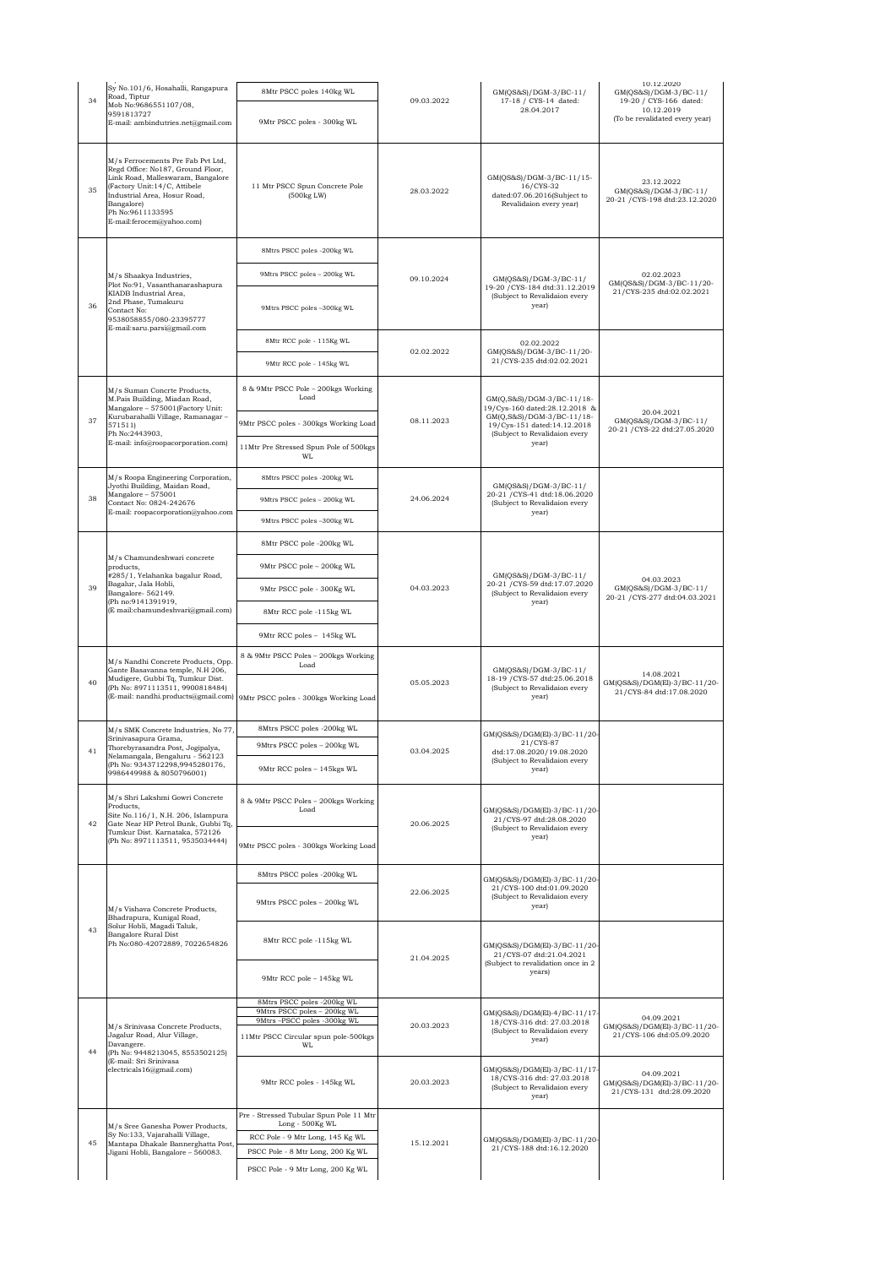| 34 | Sy No.101/6, Hosahalli, Rangapura<br>Road, Tiptur<br>Mob No:9686551107/08,<br>9591813727<br>E-mail: ambindutries.net@gmail.com                                                                                                              | 8Mtr PSCC poles 140kg WL<br>9Mtr PSCC poles - 300kg WL                          | 09.03.2022                             | GM(QS&S)/DGM-3/BC-11/<br>17-18 / CYS-14 dated:<br>28.04.2017                                             | 10.12.2020<br>GM(QS&S)/DGM-3/BC-11/<br>19-20 / CYS-166 dated:<br>10.12.2019<br>(To be revalidated every year) |
|----|---------------------------------------------------------------------------------------------------------------------------------------------------------------------------------------------------------------------------------------------|---------------------------------------------------------------------------------|----------------------------------------|----------------------------------------------------------------------------------------------------------|---------------------------------------------------------------------------------------------------------------|
| 35 | M/s Ferrocements Pre Fab Pvt Ltd,<br>Regd Office: No187, Ground Floor,<br>Link Road, Malleswaram, Bangalore<br>(Factory Unit: 14/C, Attibele<br>Industrial Area, Hosur Road,<br>Bangalore)<br>Ph No:9611133595<br>E-mail:ferocem@yahoo.com) | 11 Mtr PSCC Spun Concrete Pole<br>(500kg LW)                                    | 28.03.2022                             | GM(QS&S)/DGM-3/BC-11/15-<br>16/CYS-32<br>dated:07.06.2016(Subject to<br>Revalidaion every year)          | 23.12.2022<br>GM(QS&S)/DGM-3/BC-11/<br>20-21 / CYS-198 dtd:23.12.2020                                         |
|    |                                                                                                                                                                                                                                             | 8Mtrs PSCC poles -200kg WL                                                      |                                        |                                                                                                          |                                                                                                               |
|    | M/s Shaakya Industries,                                                                                                                                                                                                                     | 9Mtrs PSCC poles - 200kg WL                                                     | 09.10.2024                             | GM(QS&S)/DGM-3/BC-11/                                                                                    | 02.02.2023                                                                                                    |
| 36 | Plot No:91, Vasanthanarashapura<br>KIADB Industrial Area,<br>2nd Phase, Tumakuru<br>Contact No:<br>9538058855/080-23395777                                                                                                                  | 9Mtrs PSCC poles -300kg WL                                                      |                                        | 19-20 / CYS-184 dtd:31.12.2019<br>(Subject to Revalidaion every<br>year)                                 | GM(QS&S)/DGM-3/BC-11/20-<br>21/CYS-235 dtd:02.02.2021                                                         |
|    | E-mail:saru.parsi@gmail.com                                                                                                                                                                                                                 | 8Mtr RCC pole - 115Kg WL                                                        |                                        | 02.02.2022                                                                                               |                                                                                                               |
|    |                                                                                                                                                                                                                                             | 9Mtr RCC pole - 145kg WL                                                        | 02.02.2022                             | GM(QS&S)/DGM-3/BC-11/20-<br>21/CYS-235 dtd:02.02.2021                                                    |                                                                                                               |
|    | M/s Suman Concrte Products.<br>M.Pais Building, Miadan Road,<br>Mangalore - 575001(Factory Unit:                                                                                                                                            | 8 & 9Mtr PSCC Pole - 200kgs Working<br>Load                                     |                                        | GM(Q,S&S)/DGM-3/BC-11/18-<br>19/Cys-160 dated:28.12.2018 &                                               |                                                                                                               |
| 37 | Kurubarahalli Village, Ramanagar -<br>571511)                                                                                                                                                                                               | 9Mtr PSCC poles - 300kgs Working Load                                           | 08.11.2023                             | GM(Q,S&S)/DGM-3/BC-11/18-<br>19/Cys-151 dated:14.12.2018                                                 | 20.04.2021<br>GM(QS&S)/DGM-3/BC-11/<br>20-21 / CYS-22 dtd:27.05.2020                                          |
|    | Ph No:2443903,<br>E-mail: info@roopacorporation.com)                                                                                                                                                                                        | 11Mtr Pre Stressed Spun Pole of 500kgs<br>WI.                                   |                                        | (Subject to Revalidaion every<br>year)                                                                   |                                                                                                               |
|    | M/s Roopa Engineering Corporation,<br>Jyothi Building, Maidan Road,                                                                                                                                                                         | 8Mtrs PSCC poles -200kg WL                                                      |                                        | GM(QS&S)/DGM-3/BC-11/                                                                                    |                                                                                                               |
| 38 | Mangalore - 575001<br>Contact No: 0824-242676                                                                                                                                                                                               | 9Mtrs PSCC poles - 200kg WL                                                     | 24.06.2024                             | 20-21 / CYS-41 dtd:18.06.2020<br>(Subject to Revalidaion every                                           |                                                                                                               |
|    | E-mail: roopacorporation@yahoo.com                                                                                                                                                                                                          | 9Mtrs PSCC poles -300kg WL                                                      |                                        | year)                                                                                                    |                                                                                                               |
|    |                                                                                                                                                                                                                                             | 8Mtr PSCC pole -200kg WL                                                        |                                        |                                                                                                          |                                                                                                               |
|    | M/s Chamundeshwari concrete<br>products,<br>#285/1, Yelahanka bagalur Road,                                                                                                                                                                 | 9Mtr PSCC pole - 200kg WL                                                       |                                        | GM(QS&S)/DGM-3/BC-11/                                                                                    |                                                                                                               |
| 39 | Bagalur, Jala Hobli,<br>Bangalore-562149.                                                                                                                                                                                                   | 9Mtr PSCC pole - 300Kg WL                                                       | 04.03.2023                             | 20-21 / CYS-59 dtd:17.07.2020<br>(Subject to Revalidaion every                                           | 04.03.2023<br>GM(QS&S)/DGM-3/BC-11/<br>20-21 / CYS-277 dtd:04.03.2021                                         |
|    | (Ph no:9141391919,<br>(E mail:chamundeshvari@gmail.com)                                                                                                                                                                                     | 8Mtr RCC pole -115kg WL                                                         |                                        | year)                                                                                                    |                                                                                                               |
|    |                                                                                                                                                                                                                                             | 9Mtr RCC poles - 145kg WL                                                       |                                        |                                                                                                          |                                                                                                               |
| 40 | M/s Nandhi Concrete Products, Opp.<br>Gante Basavanna temple, N.H 206,<br>Mudigere, Gubbi Tq, Tumkur Dist.<br>(Ph No: 8971113511, 9900818484)                                                                                               | 8 & 9Mtr PSCC Poles - 200kgs Working<br>Load                                    | 05.05.2023                             | GM(QS&S)/DGM-3/BC-11/<br>18-19 / CYS-57 dtd:25.06.2018<br>(Subject to Revalidaion every                  | 14.08.2021<br>GM(QS&S)/DGM(El)-3/BC-11/20-<br>21/CYS-84 dtd:17.08.2020                                        |
|    |                                                                                                                                                                                                                                             | (E-mail: nandhi.products@gmail.com) 9Mtr PSCC poles - 300kgs Working Load       |                                        | year)                                                                                                    |                                                                                                               |
|    | M/s SMK Concrete Industries, No 77,<br>Srinivasapura Grama,                                                                                                                                                                                 | 8Mtrs PSCC poles -200kg WL                                                      |                                        | GM(QS&S)/DGM(El)-3/BC-11/20-                                                                             |                                                                                                               |
| 41 | Thorebyrasandra Post, Jogipalya,<br>Nelamangala, Bengaluru - 562123<br>(Ph No: 9343712298,9945280176,<br>9986449988 & 8050796001)                                                                                                           | 9Mtrs PSCC poles - 200kg WL<br>9Mtr RCC poles - 145kgs WL                       | 03.04.2025                             | 21/CYS-87<br>dtd:17.08.2020/19.08.2020<br>(Subject to Revalidaion every<br>year)                         |                                                                                                               |
| 42 | M/s Shri Lakshmi Gowri Concrete<br>Products.<br>Site No.116/1, N.H. 206, Islampura<br>Gate Near HP Petrol Bunk, Gubbi Tq,                                                                                                                   | 8 & 9Mtr PSCC Poles - 200kgs Working<br>Load                                    | 20.06.2025                             | GM(QS&S)/DGM(El)-3/BC-11/20-<br>21/CYS-97 dtd:28.08.2020                                                 |                                                                                                               |
|    | Tumkur Dist. Karnataka, 572126<br>(Ph No: 8971113511, 9535034444)                                                                                                                                                                           | 9Mtr PSCC poles - 300kgs Working Load                                           | (Subject to Revalidaion every<br>year) |                                                                                                          |                                                                                                               |
|    |                                                                                                                                                                                                                                             | 8Mtrs PSCC poles -200kg WL                                                      |                                        | GM(QS&S)/DGM(El)-3/BC-11/20-                                                                             |                                                                                                               |
|    | M/s Vishava Concrete Products,<br>Bhadrapura, Kunigal Road,<br>Solur Hobli, Magadi Taluk,<br>Bangalore Rural Dist<br>Ph No:080-42072889, 7022654826                                                                                         | 9Mtrs PSCC poles - 200kg WL                                                     | 22.06.2025                             | 21/CYS-100 dtd:01.09.2020<br>(Subject to Revalidaion every<br>year)                                      |                                                                                                               |
| 43 |                                                                                                                                                                                                                                             | 8Mtr RCC pole -115kg WL                                                         | 21.04.2025                             | GM(QS&S)/DGM(El)-3/BC-11/20-<br>21/CYS-07 dtd:21.04.2021<br>(Subject to revalidation once in 2<br>years) |                                                                                                               |
|    |                                                                                                                                                                                                                                             | 9Mtr RCC pole - 145kg WL                                                        |                                        |                                                                                                          |                                                                                                               |
|    |                                                                                                                                                                                                                                             | 8Mtrs PSCC poles -200kg WL<br>9Mtrs PSCC poles - 200kg WL                       | 20.03.2023                             | GM(QS&S)/DGM(El)-4/BC-11/17-<br>18/CYS-316 dtd: 27.03.2018<br>(Subject to Revalidaion every<br>year)     |                                                                                                               |
| 44 | M/s Srinivasa Concrete Products,<br>Jagalur Road, Alur Village,<br>Davangere.<br>(Ph No: 9448213045, 8553502125)<br>(E-mail: Sri Srinivasa<br>electricals16@gmail.com)                                                                      | 9Mtrs-PSCC poles -300kg WL<br>11Mtr PSCC Circular spun pole-500kgs<br><b>WL</b> |                                        |                                                                                                          | 04.09.2021<br>GM(QS&S)/DGM(El)-3/BC-11/20-<br>21/CYS-106 dtd:05.09.2020                                       |
|    |                                                                                                                                                                                                                                             | 9Mtr RCC poles - 145kg WL                                                       | 20.03.2023                             | GM(QS&S)/DGM(El)-3/BC-11/17-<br>18/CYS-316 dtd: 27.03.2018<br>(Subject to Revalidaion every<br>year)     | 04.09.2021<br>GM(QS&S)/DGM(El)-3/BC-11/20-<br>21/CYS-131 dtd:28.09.2020                                       |
|    | M/s Sree Ganesha Power Products,                                                                                                                                                                                                            | Pre - Stressed Tubular Spun Pole 11 Mtr<br>Long - 500Kg WL                      |                                        |                                                                                                          |                                                                                                               |
| 45 | Sy No:133, Vajarahalli Village,<br>Mantapa Dhakale Bannerghatta Post,<br>Jigani Hobli, Bangalore - 560083.                                                                                                                                  | RCC Pole - 9 Mtr Long, 145 Kg WL                                                | 15.12.2021                             | GM(QS&S)/DGM(El)-3/BC-11/20-<br>21/CYS-188 dtd:16.12.2020                                                |                                                                                                               |
|    |                                                                                                                                                                                                                                             | PSCC Pole - 8 Mtr Long, 200 Kg WL<br>PSCC Pole - 9 Mtr Long, 200 Kg WL          |                                        |                                                                                                          |                                                                                                               |
|    |                                                                                                                                                                                                                                             |                                                                                 |                                        |                                                                                                          |                                                                                                               |